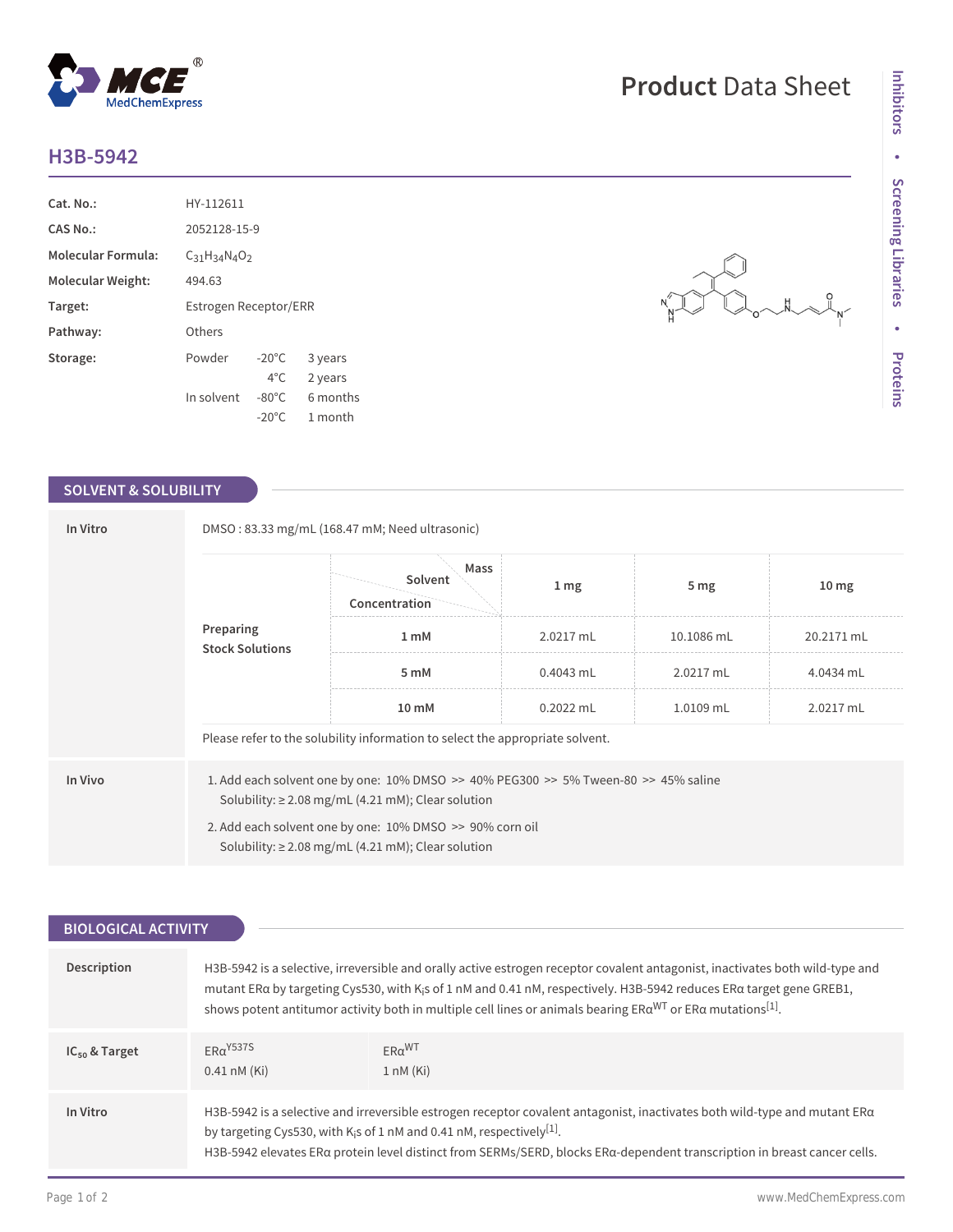## **H3B-5942**

| Cat. No.:                | HY-112611                |                  |          |  |
|--------------------------|--------------------------|------------------|----------|--|
| CAS No.:                 | 2052128-15-9             |                  |          |  |
| Molecular Formula:       | $C_{31}H_{34}N_{4}O_{2}$ |                  |          |  |
| <b>Molecular Weight:</b> | 494.63                   |                  |          |  |
| Target:                  | Estrogen Receptor/ERR    |                  |          |  |
| Pathway:                 | Others                   |                  |          |  |
| Storage:                 | Powder                   | $-20^{\circ}$ C  | 3 years  |  |
|                          |                          | $4^{\circ}$ C.   | 2 years  |  |
|                          | In solvent               | $-80^{\circ}$ C. | 6 months |  |
|                          |                          | $-20^{\circ}$ C  | 1 month  |  |

 $^{\circledR}$ 

MedChemExpress

## **SOLVENT & SOLUBILITY**

| In Vitro                            | DMSO: 83.33 mg/mL (168.47 mM; Need ultrasonic)                                                                                                                |                                                                               |             |                 |                  |  |  |
|-------------------------------------|---------------------------------------------------------------------------------------------------------------------------------------------------------------|-------------------------------------------------------------------------------|-------------|-----------------|------------------|--|--|
| Preparing<br><b>Stock Solutions</b> |                                                                                                                                                               | Mass<br>Solvent<br>Concentration                                              | 1 mg        | 5 <sub>mg</sub> | 10 <sub>mg</sub> |  |  |
|                                     | 1 mM                                                                                                                                                          | 2.0217 mL                                                                     | 10.1086 mL  | 20.2171 mL      |                  |  |  |
|                                     |                                                                                                                                                               | 5 mM                                                                          | $0.4043$ mL | 2.0217 mL       | 4.0434 mL        |  |  |
|                                     |                                                                                                                                                               | 10 mM                                                                         | $0.2022$ mL | 1.0109 mL       | 2.0217 mL        |  |  |
|                                     |                                                                                                                                                               | Please refer to the solubility information to select the appropriate solvent. |             |                 |                  |  |  |
| In Vivo                             | 1. Add each solvent one by one: $10\%$ DMSO $\geq$ 40% PEG300 $\geq$ 5% Tween-80 $\geq$ 45% saline<br>Solubility: $\geq$ 2.08 mg/mL (4.21 mM); Clear solution |                                                                               |             |                 |                  |  |  |
|                                     | 2. Add each solvent one by one: 10% DMSO >> 90% corn oil<br>Solubility: $\geq$ 2.08 mg/mL (4.21 mM); Clear solution                                           |                                                                               |             |                 |                  |  |  |

| <b>BIOLOGICAL ACTIVITY</b> |                                                                                                                                                                                                                                                                                                                                                                                                              |                                                 |  |
|----------------------------|--------------------------------------------------------------------------------------------------------------------------------------------------------------------------------------------------------------------------------------------------------------------------------------------------------------------------------------------------------------------------------------------------------------|-------------------------------------------------|--|
|                            |                                                                                                                                                                                                                                                                                                                                                                                                              |                                                 |  |
| Description                | H3B-5942 is a selective, irreversible and orally active estrogen receptor covalent antagonist, inactivates both wild-type and<br>mutant ERa by targeting Cys530, with K <sub>i</sub> s of 1 nM and 0.41 nM, respectively. H3B-5942 reduces ERa target gene GREB1,<br>shows potent antitumor activity both in multiple cell lines or animals bearing $ER\alpha^{WT}$ or $ER\alpha$ mutations <sup>[1]</sup> . |                                                 |  |
| $IC_{50}$ & Target         | $FRq$ Y <sub>537S</sub><br>$0.41 \text{ nM}$ (Ki)                                                                                                                                                                                                                                                                                                                                                            | $ER\alpha$ <sup>WT</sup><br>$1 \text{ nM}$ (Ki) |  |
| In Vitro                   | H3B-5942 is a selective and irreversible estrogen receptor covalent antagonist, inactivates both wild-type and mutant $ER\alpha$<br>by targeting Cys530, with K <sub>i</sub> s of 1 nM and 0.41 nM, respectively <sup>[1]</sup> .<br>H3B-5942 elevates ERa protein level distinct from SERMs/SERD, blocks ERa-dependent transcription in breast cancer cells.                                                |                                                 |  |

**Product** Data Sheet

 $\begin{array}{c}\n\searrow \\
\searrow \\
\searrow \\
\searrow\n\end{array}$ 

 $\overline{N}$